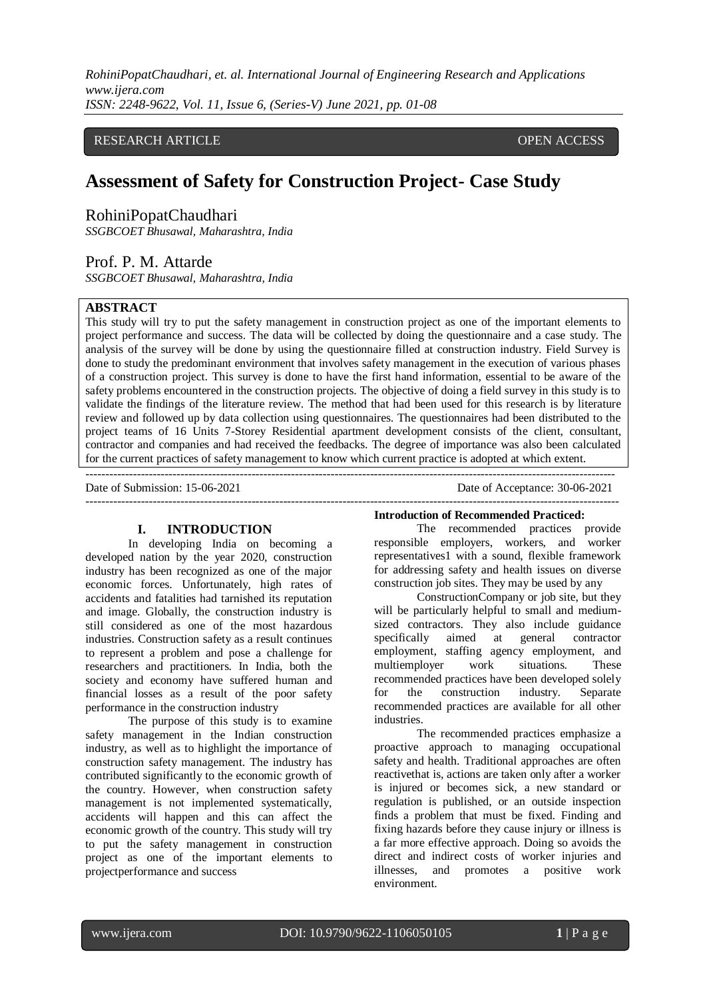### RESEARCH ARTICLE **OPEN ACCESS**

# **Assessment of Safety for Construction Project- Case Study**

RohiniPopatChaudhari

*SSGBCOET Bhusawal, Maharashtra, India* 

# Prof. P. M. Attarde

*SSGBCOET Bhusawal, Maharashtra, India*

### **ABSTRACT**

This study will try to put the safety management in construction project as one of the important elements to project performance and success. The data will be collected by doing the questionnaire and a case study. The analysis of the survey will be done by using the questionnaire filled at construction industry. Field Survey is done to study the predominant environment that involves safety management in the execution of various phases of a construction project. This survey is done to have the first hand information, essential to be aware of the safety problems encountered in the construction projects. The objective of doing a field survey in this study is to validate the findings of the literature review. The method that had been used for this research is by literature review and followed up by data collection using questionnaires. The questionnaires had been distributed to the project teams of 16 Units 7-Storey Residential apartment development consists of the client, consultant, contractor and companies and had received the feedbacks. The degree of importance was also been calculated for the current practices of safety management to know which current practice is adopted at which extent.

--------------------------------------------------------------------------------------------------------------------------------------

---------------------------------------------------------------------------------------------------------------------------------------

Date of Submission: 15-06-2021 Date of Acceptance: 30-06-2021

### **I. INTRODUCTION**

In developing India on becoming a developed nation by the year 2020, construction industry has been recognized as one of the major economic forces. Unfortunately, high rates of accidents and fatalities had tarnished its reputation and image. Globally, the construction industry is still considered as one of the most hazardous industries. Construction safety as a result continues to represent a problem and pose a challenge for researchers and practitioners. In India, both the society and economy have suffered human and financial losses as a result of the poor safety performance in the construction industry

The purpose of this study is to examine safety management in the Indian construction industry, as well as to highlight the importance of construction safety management. The industry has contributed significantly to the economic growth of the country. However, when construction safety management is not implemented systematically, accidents will happen and this can affect the economic growth of the country. This study will try to put the safety management in construction project as one of the important elements to projectperformance and success

**Introduction of Recommended Practiced:**

The recommended practices provide responsible employers, workers, and worker representatives1 with a sound, flexible framework for addressing safety and health issues on diverse construction job sites. They may be used by any

ConstructionCompany or job site, but they will be particularly helpful to small and mediumsized contractors. They also include guidance specifically aimed at general contractor employment, staffing agency employment, and multiemployer work situations. These recommended practices have been developed solely for the construction industry. Separate recommended practices are available for all other industries.

The recommended practices emphasize a proactive approach to managing occupational safety and health. Traditional approaches are often reactivethat is, actions are taken only after a worker is injured or becomes sick, a new standard or regulation is published, or an outside inspection finds a problem that must be fixed. Finding and fixing hazards before they cause injury or illness is a far more effective approach. Doing so avoids the direct and indirect costs of worker injuries and illnesses, and promotes a positive work environment.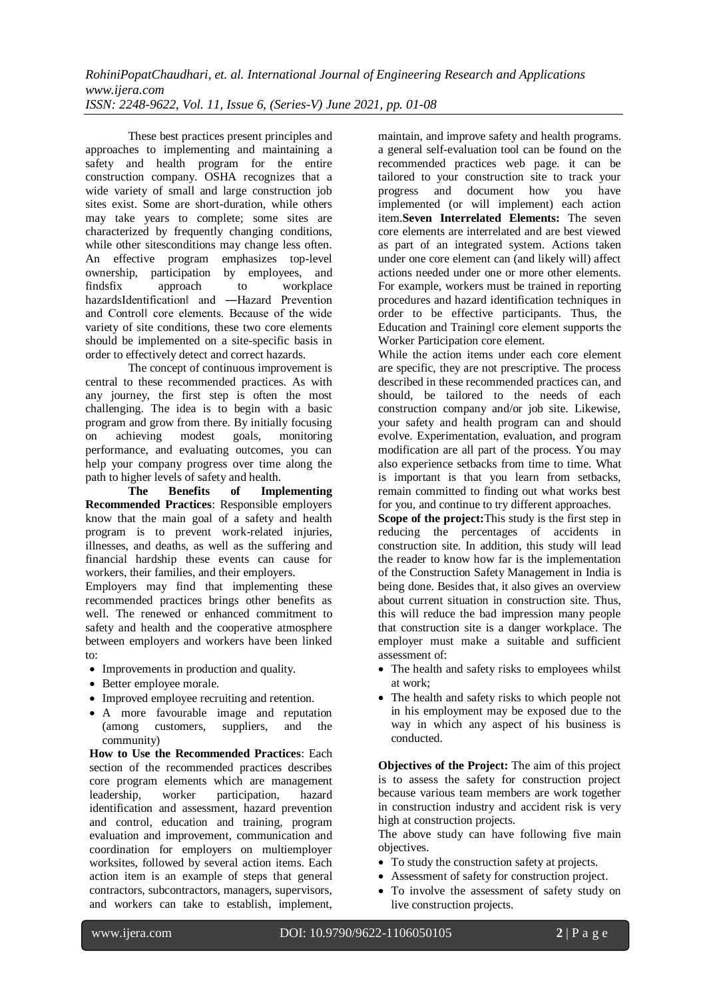These best practices present principles and approaches to implementing and maintaining a safety and health program for the entire construction company. OSHA recognizes that a wide variety of small and large construction job sites exist. Some are short-duration, while others may take years to complete; some sites are characterized by frequently changing conditions, while other sitesconditions may change less often. An effective program emphasizes top-level ownership, participation by employees, and findsfix approach to workplace hazardsIdentification‖ and ―Hazard Prevention and Control‖ core elements. Because of the wide variety of site conditions, these two core elements should be implemented on a site-specific basis in order to effectively detect and correct hazards.

The concept of continuous improvement is central to these recommended practices. As with any journey, the first step is often the most challenging. The idea is to begin with a basic program and grow from there. By initially focusing on achieving modest goals, monitoring performance, and evaluating outcomes, you can help your company progress over time along the path to higher levels of safety and health.

**The Benefits of Implementing Recommended Practices**: Responsible employers know that the main goal of a safety and health program is to prevent work-related injuries, illnesses, and deaths, as well as the suffering and financial hardship these events can cause for workers, their families, and their employers.

Employers may find that implementing these recommended practices brings other benefits as well. The renewed or enhanced commitment to safety and health and the cooperative atmosphere between employers and workers have been linked to:

- Improvements in production and quality.
- Better employee morale.
- Improved employee recruiting and retention.
- A more favourable image and reputation (among customers, suppliers, and the community)

**How to Use the Recommended Practices**: Each section of the recommended practices describes core program elements which are management leadership, worker participation, hazard identification and assessment, hazard prevention and control, education and training, program evaluation and improvement, communication and coordination for employers on multiemployer worksites, followed by several action items. Each action item is an example of steps that general contractors, subcontractors, managers, supervisors, and workers can take to establish, implement, maintain, and improve safety and health programs. a general self-evaluation tool can be found on the recommended practices web page. it can be tailored to your construction site to track your progress and document how you have implemented (or will implement) each action item.**Seven Interrelated Elements:** The seven core elements are interrelated and are best viewed as part of an integrated system. Actions taken under one core element can (and likely will) affect actions needed under one or more other elements. For example, workers must be trained in reporting procedures and hazard identification techniques in order to be effective participants. Thus, the Education and Training‖ core element supports the Worker Participation core element.

While the action items under each core element are specific, they are not prescriptive. The process described in these recommended practices can, and should, be tailored to the needs of each construction company and/or job site. Likewise, your safety and health program can and should evolve. Experimentation, evaluation, and program modification are all part of the process. You may also experience setbacks from time to time. What is important is that you learn from setbacks, remain committed to finding out what works best for you, and continue to try different approaches.

**Scope of the project:**This study is the first step in reducing the percentages of accidents in construction site. In addition, this study will lead the reader to know how far is the implementation of the Construction Safety Management in India is being done. Besides that, it also gives an overview about current situation in construction site. Thus, this will reduce the bad impression many people that construction site is a danger workplace. The employer must make a suitable and sufficient assessment of:

- The health and safety risks to employees whilst at work;
- The health and safety risks to which people not in his employment may be exposed due to the way in which any aspect of his business is conducted.

**Objectives of the Project:** The aim of this project is to assess the safety for construction project because various team members are work together in construction industry and accident risk is very high at construction projects.

The above study can have following five main objectives.

- To study the construction safety at projects.
- Assessment of safety for construction project.
- To involve the assessment of safety study on live construction projects.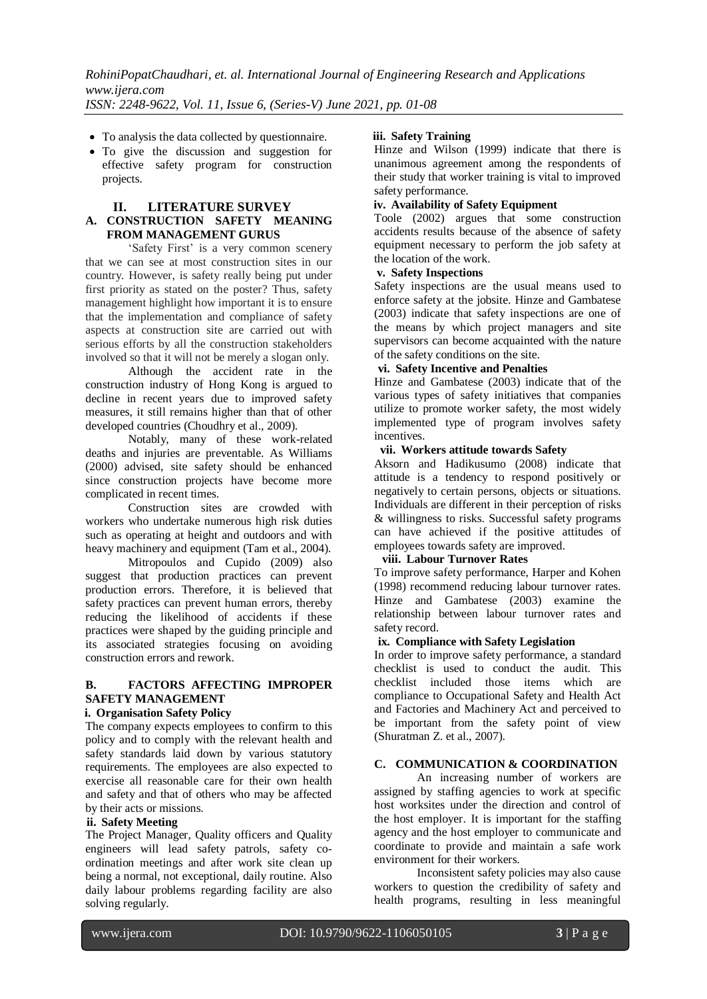- To analysis the data collected by questionnaire.
- To give the discussion and suggestion for effective safety program for construction projects.

#### **II. LITERATURE SURVEY A. CONSTRUCTION SAFETY MEANING FROM MANAGEMENT GURUS**

'Safety First' is a very common scenery that we can see at most construction sites in our country. However, is safety really being put under first priority as stated on the poster? Thus, safety management highlight how important it is to ensure that the implementation and compliance of safety aspects at construction site are carried out with serious efforts by all the construction stakeholders involved so that it will not be merely a slogan only.

Although the accident rate in the construction industry of Hong Kong is argued to decline in recent years due to improved safety measures, it still remains higher than that of other developed countries (Choudhry et al., 2009).

Notably, many of these work-related deaths and injuries are preventable. As Williams (2000) advised, site safety should be enhanced since construction projects have become more complicated in recent times.

Construction sites are crowded with workers who undertake numerous high risk duties such as operating at height and outdoors and with heavy machinery and equipment (Tam et al., 2004).

Mitropoulos and Cupido (2009) also suggest that production practices can prevent production errors. Therefore, it is believed that safety practices can prevent human errors, thereby reducing the likelihood of accidents if these practices were shaped by the guiding principle and its associated strategies focusing on avoiding construction errors and rework.

### **B. FACTORS AFFECTING IMPROPER SAFETY MANAGEMENT**

### **i. Organisation Safety Policy**

The company expects employees to confirm to this policy and to comply with the relevant health and safety standards laid down by various statutory requirements. The employees are also expected to exercise all reasonable care for their own health and safety and that of others who may be affected by their acts or missions.

### **ii. Safety Meeting**

The Project Manager, Quality officers and Quality engineers will lead safety patrols, safety coordination meetings and after work site clean up being a normal, not exceptional, daily routine. Also daily labour problems regarding facility are also solving regularly.

### **iii. Safety Training**

Hinze and Wilson (1999) indicate that there is unanimous agreement among the respondents of their study that worker training is vital to improved safety performance.

#### **iv. Availability of Safety Equipment**

Toole (2002) argues that some construction accidents results because of the absence of safety equipment necessary to perform the job safety at the location of the work.

### **v. Safety Inspections**

Safety inspections are the usual means used to enforce safety at the jobsite. Hinze and Gambatese (2003) indicate that safety inspections are one of the means by which project managers and site supervisors can become acquainted with the nature of the safety conditions on the site.

### **vi. Safety Incentive and Penalties**

Hinze and Gambatese (2003) indicate that of the various types of safety initiatives that companies utilize to promote worker safety, the most widely implemented type of program involves safety incentives.

### **vii. Workers attitude towards Safety**

Aksorn and Hadikusumo (2008) indicate that attitude is a tendency to respond positively or negatively to certain persons, objects or situations. Individuals are different in their perception of risks & willingness to risks. Successful safety programs can have achieved if the positive attitudes of employees towards safety are improved.

### **viii. Labour Turnover Rates**

To improve safety performance, Harper and Kohen (1998) recommend reducing labour turnover rates. Hinze and Gambatese (2003) examine the relationship between labour turnover rates and safety record.

#### **ix. Compliance with Safety Legislation**

In order to improve safety performance, a standard checklist is used to conduct the audit. This checklist included those items which are compliance to Occupational Safety and Health Act and Factories and Machinery Act and perceived to be important from the safety point of view (Shuratman Z. et al., 2007).

### **C. COMMUNICATION & COORDINATION**

An increasing number of workers are assigned by staffing agencies to work at specific host worksites under the direction and control of the host employer. It is important for the staffing agency and the host employer to communicate and coordinate to provide and maintain a safe work environment for their workers.

Inconsistent safety policies may also cause workers to question the credibility of safety and health programs, resulting in less meaningful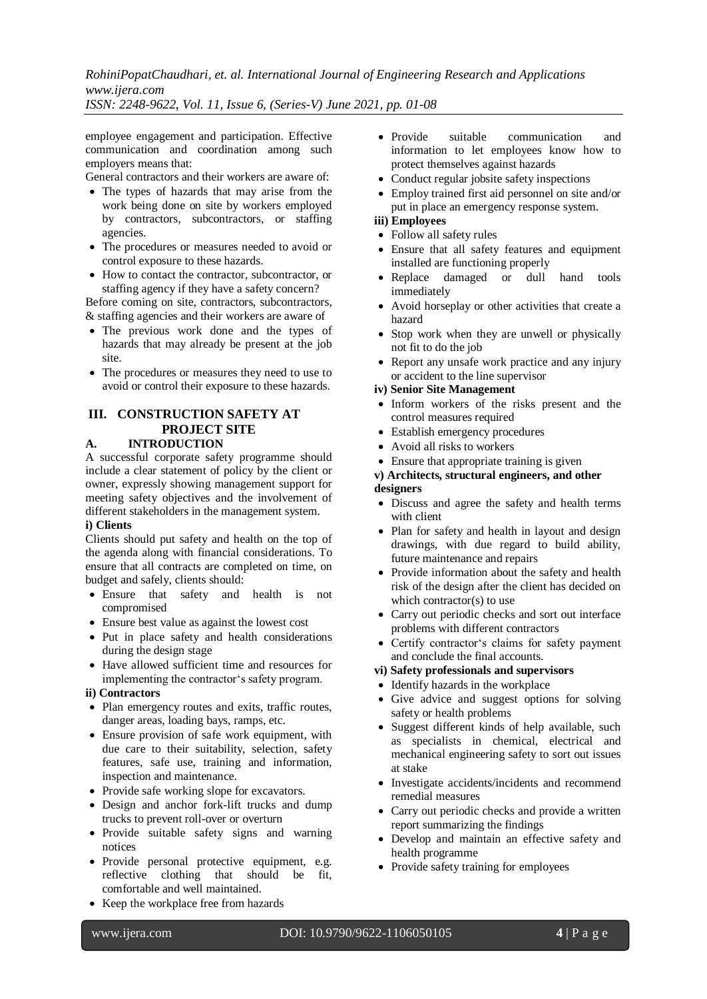*RohiniPopatChaudhari, et. al. International Journal of Engineering Research and Applications www.ijera.com*

*ISSN: 2248-9622, Vol. 11, Issue 6, (Series-V) June 2021, pp. 01-08*

employee engagement and participation. Effective communication and coordination among such employers means that:

General contractors and their workers are aware of:

- The types of hazards that may arise from the work being done on site by workers employed by contractors, subcontractors, or staffing agencies.
- The procedures or measures needed to avoid or control exposure to these hazards.
- How to contact the contractor, subcontractor, or staffing agency if they have a safety concern?

Before coming on site, contractors, subcontractors, & staffing agencies and their workers are aware of

- The previous work done and the types of hazards that may already be present at the job site.
- The procedures or measures they need to use to avoid or control their exposure to these hazards.

#### **III. CONSTRUCTION SAFETY AT PROJECT SITE A. INTRODUCTION**

A successful corporate safety programme should include a clear statement of policy by the client or owner, expressly showing management support for meeting safety objectives and the involvement of different stakeholders in the management system.

### **i) Clients**

Clients should put safety and health on the top of the agenda along with financial considerations. To ensure that all contracts are completed on time, on budget and safely, clients should:

- Ensure that safety and health is not compromised
- Ensure best value as against the lowest cost
- Put in place safety and health considerations during the design stage
- Have allowed sufficient time and resources for implementing the contractor's safety program.

### **ii) Contractors**

- Plan emergency routes and exits, traffic routes, danger areas, loading bays, ramps, etc.
- Ensure provision of safe work equipment, with due care to their suitability, selection, safety features, safe use, training and information, inspection and maintenance.
- Provide safe working slope for excavators.
- Design and anchor fork-lift trucks and dump trucks to prevent roll-over or overturn
- Provide suitable safety signs and warning notices
- Provide personal protective equipment, e.g. reflective clothing that should be fit, comfortable and well maintained.
- Keep the workplace free from hazards
- Provide suitable communication and information to let employees know how to protect themselves against hazards
- Conduct regular jobsite safety inspections
- Employ trained first aid personnel on site and/or put in place an emergency response system.

#### **iii) Employees**

- Follow all safety rules
- Ensure that all safety features and equipment installed are functioning properly
- Replace damaged or dull hand tools immediately
- Avoid horseplay or other activities that create a hazard
- Stop work when they are unwell or physically not fit to do the job
- Report any unsafe work practice and any injury or accident to the line supervisor

#### **iv) Senior Site Management**

- Inform workers of the risks present and the control measures required
- Establish emergency procedures
- Avoid all risks to workers
- Ensure that appropriate training is given

#### **v) Architects, structural engineers, and other designers**

- Discuss and agree the safety and health terms with client
- Plan for safety and health in layout and design drawings, with due regard to build ability, future maintenance and repairs
- Provide information about the safety and health risk of the design after the client has decided on which contractor(s) to use
- Carry out periodic checks and sort out interface problems with different contractors
- Certify contractor's claims for safety payment and conclude the final accounts.

### **vi) Safety professionals and supervisors**

- Identify hazards in the workplace
- Give advice and suggest options for solving safety or health problems
- Suggest different kinds of help available, such as specialists in chemical, electrical and mechanical engineering safety to sort out issues at stake
- Investigate accidents/incidents and recommend remedial measures
- Carry out periodic checks and provide a written report summarizing the findings
- Develop and maintain an effective safety and health programme
- Provide safety training for employees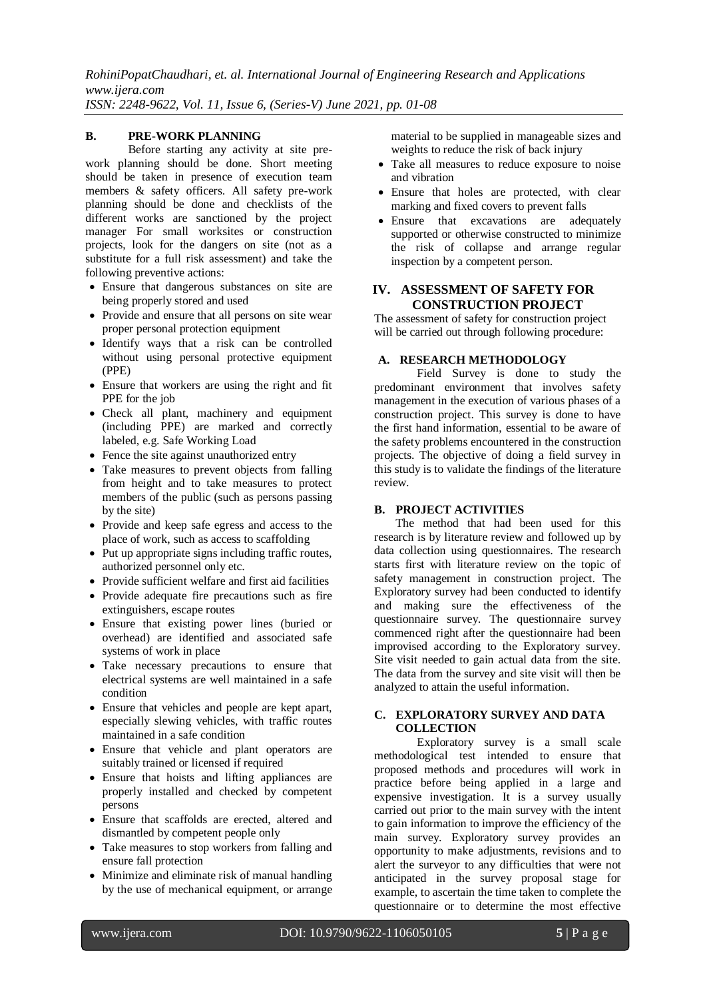*RohiniPopatChaudhari, et. al. International Journal of Engineering Research and Applications www.ijera.com*

*ISSN: 2248-9622, Vol. 11, Issue 6, (Series-V) June 2021, pp. 01-08*

## **B. PRE-WORK PLANNING**

Before starting any activity at site prework planning should be done. Short meeting should be taken in presence of execution team members & safety officers. All safety pre-work planning should be done and checklists of the different works are sanctioned by the project manager For small worksites or construction projects, look for the dangers on site (not as a substitute for a full risk assessment) and take the following preventive actions:

- Ensure that dangerous substances on site are being properly stored and used
- Provide and ensure that all persons on site wear proper personal protection equipment
- Identify ways that a risk can be controlled without using personal protective equipment (PPE)
- Ensure that workers are using the right and fit PPE for the job
- Check all plant, machinery and equipment (including PPE) are marked and correctly labeled, e.g. Safe Working Load
- Fence the site against unauthorized entry
- Take measures to prevent objects from falling from height and to take measures to protect members of the public (such as persons passing by the site)
- Provide and keep safe egress and access to the place of work, such as access to scaffolding
- Put up appropriate signs including traffic routes, authorized personnel only etc.
- Provide sufficient welfare and first aid facilities
- Provide adequate fire precautions such as fire extinguishers, escape routes
- Ensure that existing power lines (buried or overhead) are identified and associated safe systems of work in place
- Take necessary precautions to ensure that electrical systems are well maintained in a safe condition
- Ensure that vehicles and people are kept apart, especially slewing vehicles, with traffic routes maintained in a safe condition
- Ensure that vehicle and plant operators are suitably trained or licensed if required
- Ensure that hoists and lifting appliances are properly installed and checked by competent persons
- Ensure that scaffolds are erected, altered and dismantled by competent people only
- Take measures to stop workers from falling and ensure fall protection
- Minimize and eliminate risk of manual handling by the use of mechanical equipment, or arrange

material to be supplied in manageable sizes and weights to reduce the risk of back injury

- Take all measures to reduce exposure to noise and vibration
- Ensure that holes are protected, with clear marking and fixed covers to prevent falls
- Ensure that excavations are adequately supported or otherwise constructed to minimize the risk of collapse and arrange regular inspection by a competent person.

### **IV. ASSESSMENT OF SAFETY FOR CONSTRUCTION PROJECT**

The assessment of safety for construction project will be carried out through following procedure:

### **A. RESEARCH METHODOLOGY**

Field Survey is done to study the predominant environment that involves safety management in the execution of various phases of a construction project. This survey is done to have the first hand information, essential to be aware of the safety problems encountered in the construction projects. The objective of doing a field survey in this study is to validate the findings of the literature review.

### **B. PROJECT ACTIVITIES**

The method that had been used for this research is by literature review and followed up by data collection using questionnaires. The research starts first with literature review on the topic of safety management in construction project. The Exploratory survey had been conducted to identify and making sure the effectiveness of the questionnaire survey. The questionnaire survey commenced right after the questionnaire had been improvised according to the Exploratory survey. Site visit needed to gain actual data from the site. The data from the survey and site visit will then be analyzed to attain the useful information.

### **C. EXPLORATORY SURVEY AND DATA COLLECTION**

Exploratory survey is a small scale methodological test intended to ensure that proposed methods and procedures will work in practice before being applied in a large and expensive investigation. It is a survey usually carried out prior to the main survey with the intent to gain information to improve the efficiency of the main survey. Exploratory survey provides an opportunity to make adjustments, revisions and to alert the surveyor to any difficulties that were not anticipated in the survey proposal stage for example, to ascertain the time taken to complete the questionnaire or to determine the most effective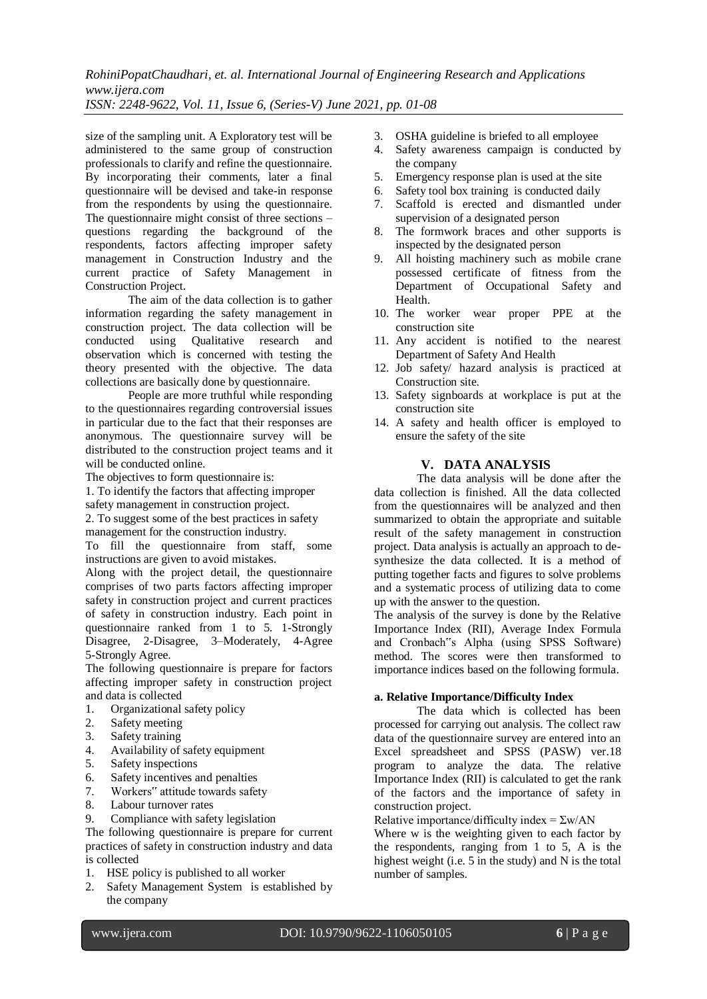*RohiniPopatChaudhari, et. al. International Journal of Engineering Research and Applications www.ijera.com*

*ISSN: 2248-9622, Vol. 11, Issue 6, (Series-V) June 2021, pp. 01-08*

size of the sampling unit. A Exploratory test will be administered to the same group of construction professionals to clarify and refine the questionnaire. By incorporating their comments, later a final questionnaire will be devised and take-in response from the respondents by using the questionnaire. The questionnaire might consist of three sections – questions regarding the background of the respondents, factors affecting improper safety management in Construction Industry and the current practice of Safety Management in Construction Project.

The aim of the data collection is to gather information regarding the safety management in construction project. The data collection will be conducted using Qualitative research and Qualitative research and observation which is concerned with testing the theory presented with the objective. The data collections are basically done by questionnaire.

People are more truthful while responding to the questionnaires regarding controversial issues in particular due to the fact that their responses are anonymous. The questionnaire survey will be distributed to the construction project teams and it will be conducted online.

The objectives to form questionnaire is:

1. To identify the factors that affecting improper

safety management in construction project.

2. To suggest some of the best practices in safety management for the construction industry.

To fill the questionnaire from staff, some instructions are given to avoid mistakes.

Along with the project detail, the questionnaire comprises of two parts factors affecting improper safety in construction project and current practices of safety in construction industry. Each point in questionnaire ranked from 1 to 5. 1-Strongly Disagree, 2-Disagree, 3–Moderately, 4-Agree 5-Strongly Agree.

The following questionnaire is prepare for factors affecting improper safety in construction project and data is collected

- 1. Organizational safety policy
- 2. Safety meeting
- 3. Safety training
- 4. Availability of safety equipment
- 5. Safety inspections
- 
- 6. Safety incentives and penalties<br>7. Workers" attitude towards safet Workers" attitude towards safety
- 8. Labour turnover rates
- 9. Compliance with safety legislation

The following questionnaire is prepare for current practices of safety in construction industry and data is collected

- 1. HSE policy is published to all worker
- 2. Safety Management System is established by the company
- 3. OSHA guideline is briefed to all employee
- 4. Safety awareness campaign is conducted by the company
- 5. Emergency response plan is used at the site
- 6. Safety tool box training is conducted daily
- 7. Scaffold is erected and dismantled under supervision of a designated person
- 8. The formwork braces and other supports is inspected by the designated person
- 9. All hoisting machinery such as mobile crane possessed certificate of fitness from the Department of Occupational Safety and Health.
- 10. The worker wear proper PPE at the construction site
- 11. Any accident is notified to the nearest Department of Safety And Health
- 12. Job safety/ hazard analysis is practiced at Construction site.
- 13. Safety signboards at workplace is put at the construction site
- 14. A safety and health officer is employed to ensure the safety of the site

### **V. DATA ANALYSIS**

The data analysis will be done after the data collection is finished. All the data collected from the questionnaires will be analyzed and then summarized to obtain the appropriate and suitable result of the safety management in construction project. Data analysis is actually an approach to desynthesize the data collected. It is a method of putting together facts and figures to solve problems and a systematic process of utilizing data to come up with the answer to the question.

The analysis of the survey is done by the Relative Importance Index (RII), Average Index Formula and Cronbach"s Alpha (using SPSS Software) method. The scores were then transformed to importance indices based on the following formula.

## **a. Relative Importance/Difficulty Index**

The data which is collected has been processed for carrying out analysis. The collect raw data of the questionnaire survey are entered into an Excel spreadsheet and SPSS (PASW) ver.18 program to analyze the data. The relative Importance Index (RII) is calculated to get the rank of the factors and the importance of safety in construction project.

Relative importance/difficulty index =  $\Sigma w/AN$ 

Where w is the weighting given to each factor by the respondents, ranging from 1 to 5, A is the highest weight (i.e. 5 in the study) and N is the total number of samples.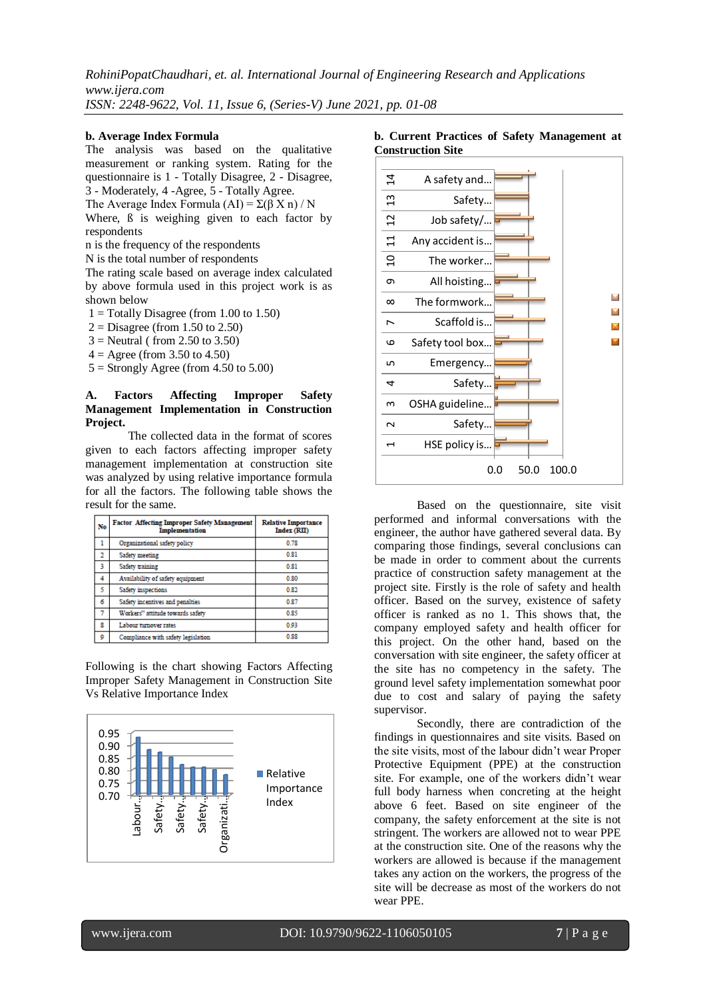#### **b. Average Index Formula**

The analysis was based on the qualitative measurement or ranking system. Rating for the questionnaire is 1 - Totally Disagree, 2 - Disagree, 3 - Moderately, 4 -Agree, 5 - Totally Agree.

The Average Index Formula (AI) =  $\Sigma(\beta X n) / N$ 

Where,  $\beta$  is weighing given to each factor by respondents

n is the frequency of the respondents

N is the total number of respondents

The rating scale based on average index calculated by above formula used in this project work is as shown below

- $1 = \text{Totally Disagree (from } 1.00 \text{ to } 1.50)$
- $2 =$ Disagree (from 1.50 to 2.50)
- $3$  = Neutral (from 2.50 to 3.50)
- $4 = \text{Agree (from 3.50 to 4.50)}$
- $5 =$  Strongly Agree (from 4.50 to 5.00)

#### **A. Factors Affecting Improper Safety Management Implementation in Construction Project.**

The collected data in the format of scores given to each factors affecting improper safety management implementation at construction site was analyzed by using relative importance formula for all the factors. The following table shows the result for the same.

| No             | <b>Factor Affecting Improper Safety Management</b><br><b>Implementation</b> | <b>Relative Importance</b><br>Index (RII) |
|----------------|-----------------------------------------------------------------------------|-------------------------------------------|
| ı              | Organizational safety policy                                                | 0.78                                      |
| $\overline{2}$ | Safety meeting                                                              | 0.81                                      |
| 3              | Safety training                                                             | 0.81                                      |
| 4              | Availability of safety equipment                                            | 0.80                                      |
| 5              | Safety inspections                                                          | 0.82                                      |
| 6              | Safety incentives and penalties                                             | 0.87                                      |
| 7              | Workers" attitude towards safety                                            | 0.85                                      |
| R              | Labour turnover rates                                                       | 0.93                                      |
| 0              | Compliance with safety legislation                                          | 0.88                                      |

Following is the chart showing Factors Affecting Improper Safety Management in Construction Site Vs Relative Importance Index



#### **b. Current Practices of Safety Management at Construction Site**



Based on the questionnaire, site visit performed and informal conversations with the engineer, the author have gathered several data. By comparing those findings, several conclusions can be made in order to comment about the currents practice of construction safety management at the project site. Firstly is the role of safety and health officer. Based on the survey, existence of safety officer is ranked as no 1. This shows that, the company employed safety and health officer for this project. On the other hand, based on the conversation with site engineer, the safety officer at the site has no competency in the safety. The ground level safety implementation somewhat poor due to cost and salary of paying the safety supervisor.

Secondly, there are contradiction of the findings in questionnaires and site visits. Based on the site visits, most of the labour didn't wear Proper Protective Equipment (PPE) at the construction site. For example, one of the workers didn't wear full body harness when concreting at the height above 6 feet. Based on site engineer of the company, the safety enforcement at the site is not stringent. The workers are allowed not to wear PPE at the construction site. One of the reasons why the workers are allowed is because if the management takes any action on the workers, the progress of the site will be decrease as most of the workers do not wear PPE.